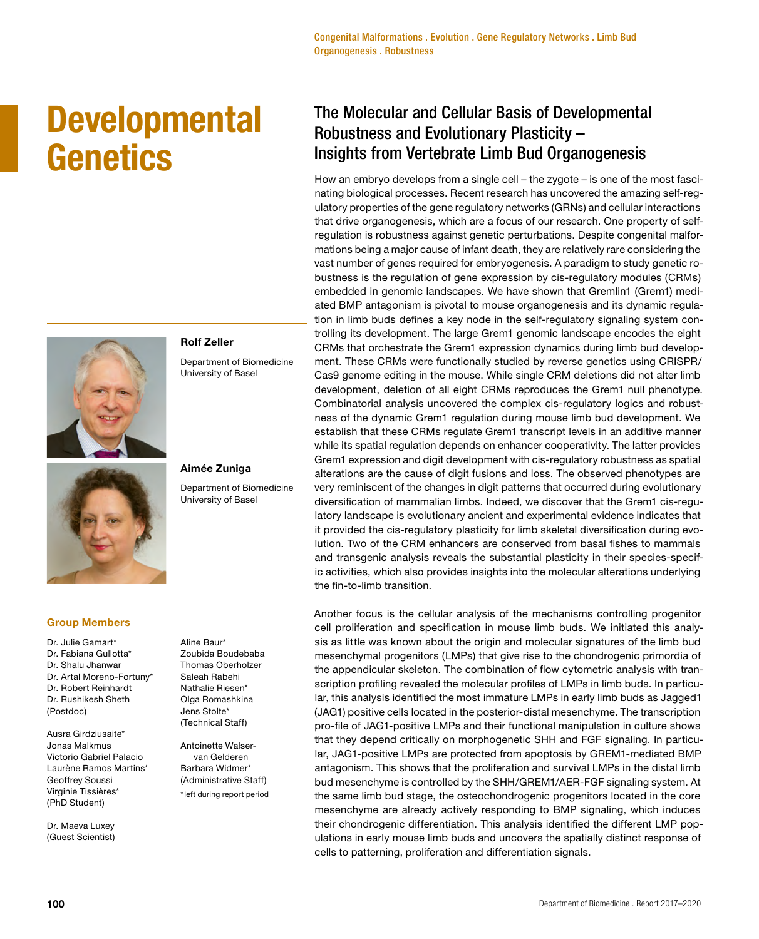# **Developmental Genetics**



## **Rolf Zeller**  Department of Biomedicine University of Basel

**Aimée Zuniga**

Department of Biomedicine University of Basel

# **Group Members**

- Dr. Julie Gamart\* Dr. Fabiana Gullotta\* Dr. Shalu Jhanwar Dr. Artal Moreno-Fortuny\* Dr. Robert Reinhardt Dr. Rushikesh Sheth (Postdoc)
- Ausra Girdziusaite\* Jonas Malkmus Victorio Gabriel Palacio Laurène Ramos Martins\* Geoffrey Soussi Virginie Tissières\* (PhD Student)

Dr. Maeva Luxey (Guest Scientist) Aline Baur\* Zoubida Boudebaba Thomas Oberholzer Saleah Rabehi Nathalie Riesen\* Olga Romashkina Jens Stolte\* (Technical Staff)

Antoinette Walservan Gelderen Barbara Widmer\* (Administrative Staff) \*left during report period

# The Molecular and Cellular Basis of Developmental Robustness and Evolutionary Plasticity – Insights from Vertebrate Limb Bud Organogenesis

How an embryo develops from a single cell – the zygote – is one of the most fascinating biological processes. Recent research has uncovered the amazing self-regulatory properties of the gene regulatory networks (GRNs) and cellular interactions that drive organogenesis, which are a focus of our research. One property of selfregulation is robustness against genetic perturbations. Despite congenital malformations being a major cause of infant death, they are relatively rare considering the vast number of genes required for embryogenesis. A paradigm to study genetic robustness is the regulation of gene expression by cis-regulatory modules (CRMs) embedded in genomic landscapes. We have shown that Gremlin1 (Grem1) mediated BMP antagonism is pivotal to mouse organogenesis and its dynamic regulation in limb buds defines a key node in the self-regulatory signaling system controlling its development. The large Grem1 genomic landscape encodes the eight CRMs that orchestrate the Grem1 expression dynamics during limb bud development. These CRMs were functionally studied by reverse genetics using CRISPR/ Cas9 genome editing in the mouse. While single CRM deletions did not alter limb development, deletion of all eight CRMs reproduces the Grem1 null phenotype. Combinatorial analysis uncovered the complex cis-regulatory logics and robustness of the dynamic Grem1 regulation during mouse limb bud development. We establish that these CRMs regulate Grem1 transcript levels in an additive manner while its spatial regulation depends on enhancer cooperativity. The latter provides Grem1 expression and digit development with cis-regulatory robustness as spatial alterations are the cause of digit fusions and loss. The observed phenotypes are very reminiscent of the changes in digit patterns that occurred during evolutionary diversification of mammalian limbs. Indeed, we discover that the Grem1 cis-regulatory landscape is evolutionary ancient and experimental evidence indicates that it provided the cis-regulatory plasticity for limb skeletal diversification during evolution. Two of the CRM enhancers are conserved from basal fishes to mammals and transgenic analysis reveals the substantial plasticity in their species-specific activities, which also provides insights into the molecular alterations underlying the fin-to-limb transition.

Another focus is the cellular analysis of the mechanisms controlling progenitor cell proliferation and specification in mouse limb buds. We initiated this analysis as little was known about the origin and molecular signatures of the limb bud mesenchymal progenitors (LMPs) that give rise to the chondrogenic primordia of the appendicular skeleton. The combination of flow cytometric analysis with transcription profiling revealed the molecular profiles of LMPs in limb buds. In particular, this analysis identified the most immature LMPs in early limb buds as Jagged1 (JAG1) positive cells located in the posterior-distal mesenchyme. The transcription pro-file of JAG1-positive LMPs and their functional manipulation in culture shows that they depend critically on morphogenetic SHH and FGF signaling. In particular, JAG1-positive LMPs are protected from apoptosis by GREM1-mediated BMP antagonism. This shows that the proliferation and survival LMPs in the distal limb bud mesenchyme is controlled by the SHH/GREM1/AER-FGF signaling system. At the same limb bud stage, the osteochondrogenic progenitors located in the core mesenchyme are already actively responding to BMP signaling, which induces their chondrogenic differentiation. This analysis identified the different LMP populations in early mouse limb buds and uncovers the spatially distinct response of cells to patterning, proliferation and differentiation signals.